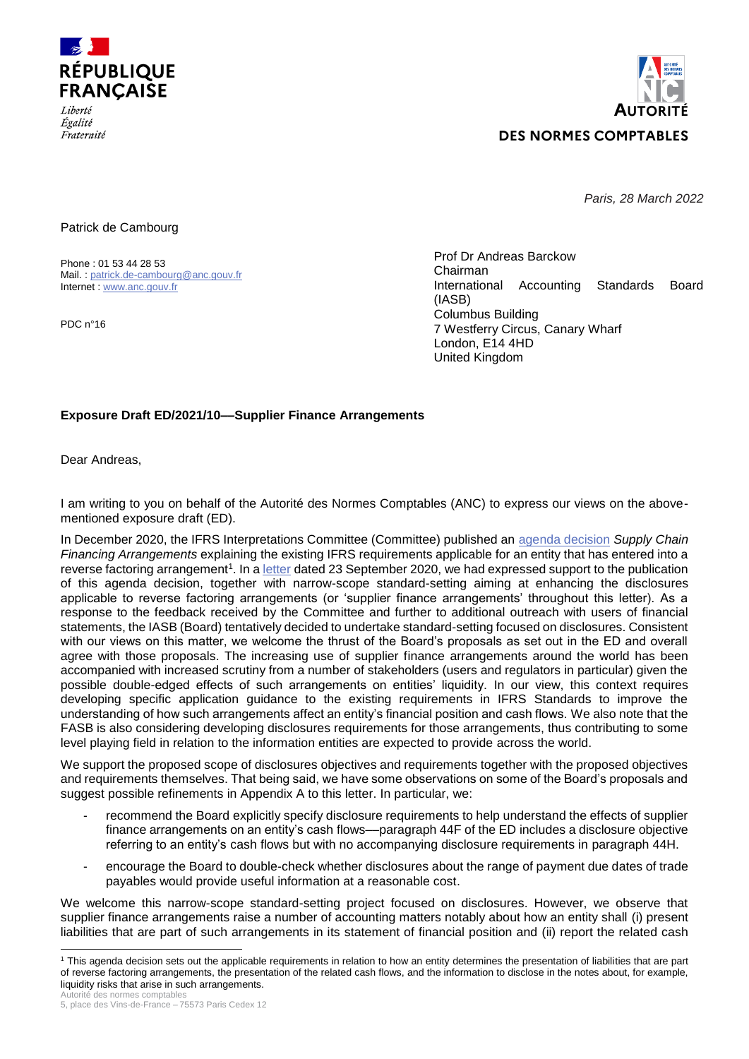

*Égalité* Fraternité



*Paris, 28 March 2022*

Patrick de Cambourg

Phone : 01 53 44 28 53 Mail. : [patrick.de-cambourg@anc.gouv.fr](mailto:patrick.de-cambourg@anc.gouv.fr) Internet : [www.anc.gouv.fr](http://www.anc.gouv.fr/)

PDC n°16

Prof Dr Andreas Barckow Chairman International Accounting Standards Board (IASB) Columbus Building 7 Westferry Circus, Canary Wharf London, E14 4HD United Kingdom

# **Exposure Draft ED/2021/10––Supplier Finance Arrangements**

Dear Andreas,

I am writing to you on behalf of the Autorité des Normes Comptables (ANC) to express our views on the abovementioned exposure draft (ED).

In December 2020, the IFRS Interpretations Committee (Committee) published an [agenda decision](https://www.ifrs.org/content/dam/ifrs/supporting-implementation/agenda-decisions/2020/supply-chain-financing-arrangements-reverse-factoring-december-2020.pdf) *Supply Chain Financing Arrangements* explaining the existing IFRS requirements applicable for an entity that has entered into a reverse factoring arrangement<sup>1</sup>. In a <u>letter</u> dated 23 September 2020, we had expressed support to the publication of this agenda decision, together with narrow-scope standard-setting aiming at enhancing the disclosures applicable to reverse factoring arrangements (or 'supplier finance arrangements' throughout this letter). As a response to the feedback received by the Committee and further to additional outreach with users of financial statements, the IASB (Board) tentatively decided to undertake standard-setting focused on disclosures. Consistent with our views on this matter, we welcome the thrust of the Board's proposals as set out in the ED and overall agree with those proposals. The increasing use of supplier finance arrangements around the world has been accompanied with increased scrutiny from a number of stakeholders (users and regulators in particular) given the possible double-edged effects of such arrangements on entities' liquidity. In our view, this context requires developing specific application guidance to the existing requirements in IFRS Standards to improve the understanding of how such arrangements affect an entity's financial position and cash flows. We also note that the FASB is also considering developing disclosures requirements for those arrangements, thus contributing to some level playing field in relation to the information entities are expected to provide across the world.

We support the proposed scope of disclosures objectives and requirements together with the proposed objectives and requirements themselves. That being said, we have some observations on some of the Board's proposals and suggest possible refinements in Appendix A to this letter. In particular, we:

- recommend the Board explicitly specify disclosure requirements to help understand the effects of supplier finance arrangements on an entity's cash flows––paragraph 44F of the ED includes a disclosure objective referring to an entity's cash flows but with no accompanying disclosure requirements in paragraph 44H.
- encourage the Board to double-check whether disclosures about the range of payment due dates of trade payables would provide useful information at a reasonable cost.

We welcome this narrow-scope standard-setting project focused on disclosures. However, we observe that supplier finance arrangements raise a number of accounting matters notably about how an entity shall (i) present liabilities that are part of such arrangements in its statement of financial position and (ii) report the related cash

Autorité des normes comptables <sup>1</sup> This agenda decision sets out the applicable requirements in relation to how an entity determines the presentation of liabilities that are part of reverse factoring arrangements, the presentation of the related cash flows, and the information to disclose in the notes about, for example, liquidity risks that arise in such arrangements.

<sup>5,</sup> place des Vins-de-France – 75573 Paris Cedex 12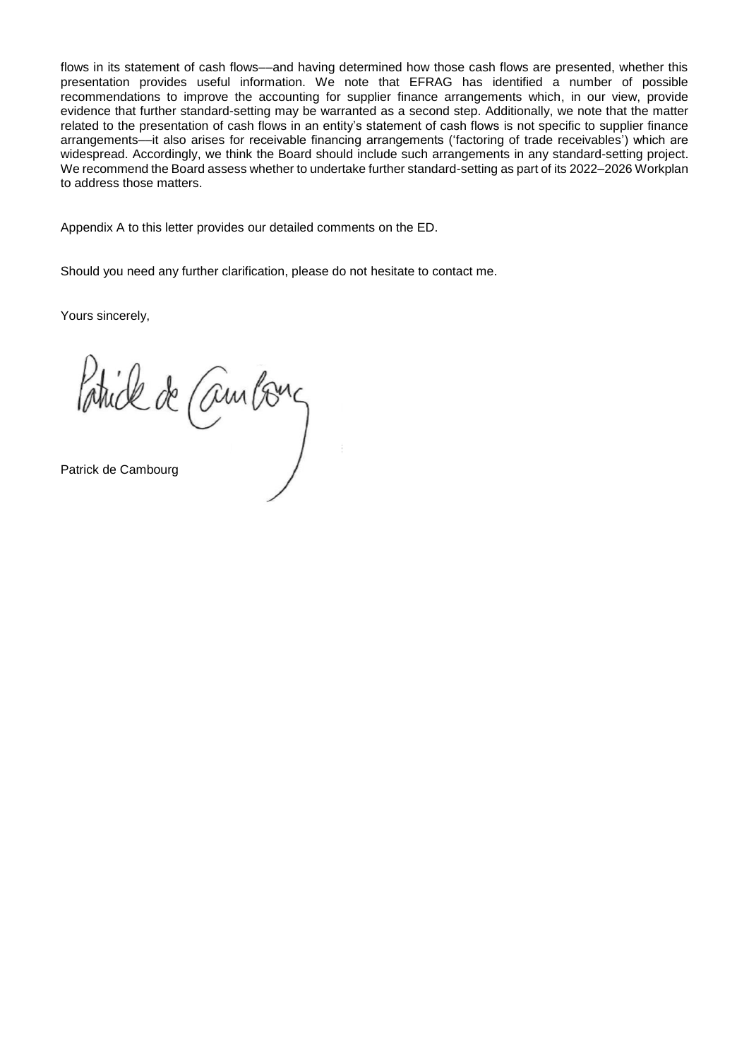flows in its statement of cash flows––and having determined how those cash flows are presented, whether this presentation provides useful information. We note that EFRAG has identified a number of possible recommendations to improve the accounting for supplier finance arrangements which, in our view, provide evidence that further standard-setting may be warranted as a second step. Additionally, we note that the matter related to the presentation of cash flows in an entity's statement of cash flows is not specific to supplier finance arrangements––it also arises for receivable financing arrangements ('factoring of trade receivables') which are widespread. Accordingly, we think the Board should include such arrangements in any standard-setting project. We recommend the Board assess whether to undertake further standard-setting as part of its 2022–2026 Workplan to address those matters.

Appendix A to this letter provides our detailed comments on the ED.

Should you need any further clarification, please do not hesitate to contact me.

Yours sincerely,

Patrick de Cambons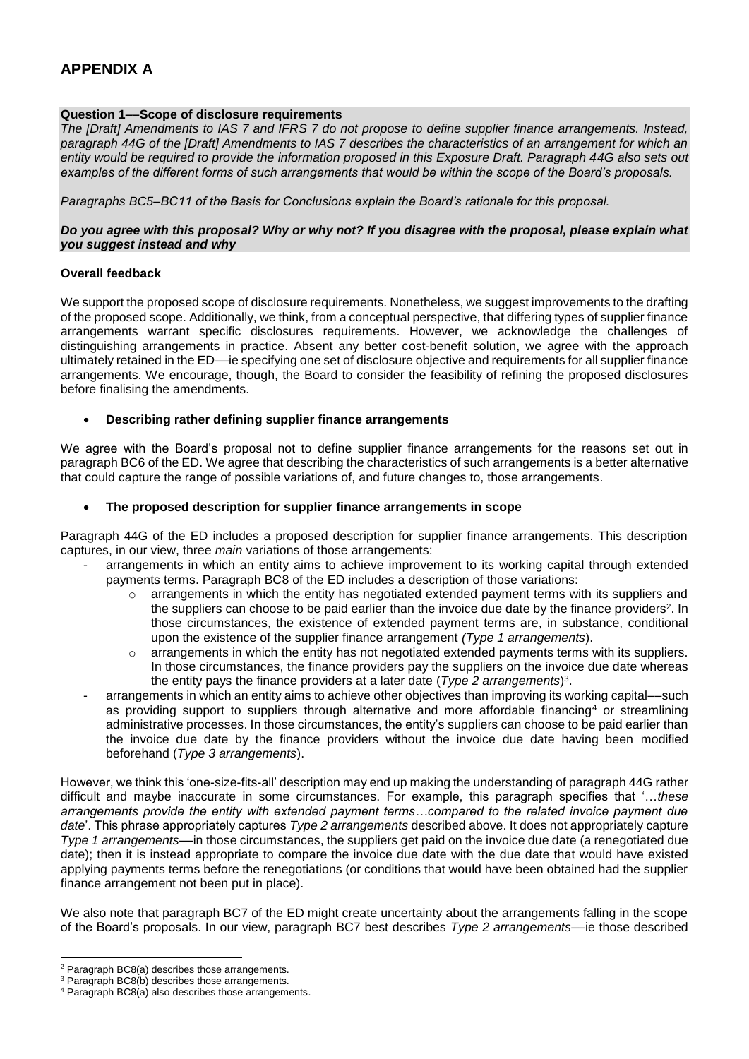# **APPENDIX A**

# **Question 1––Scope of disclosure requirements**

*The [Draft] Amendments to IAS 7 and IFRS 7 do not propose to define supplier finance arrangements. Instead, paragraph 44G of the [Draft] Amendments to IAS 7 describes the characteristics of an arrangement for which an*  entity would be required to provide the information proposed in this Exposure Draft. Paragraph 44G also sets out *examples of the different forms of such arrangements that would be within the scope of the Board's proposals.*

*Paragraphs BC5–BC11 of the Basis for Conclusions explain the Board's rationale for this proposal.*

#### *Do you agree with this proposal? Why or why not? If you disagree with the proposal, please explain what you suggest instead and why*

#### **Overall feedback**

We support the proposed scope of disclosure requirements. Nonetheless, we suggest improvements to the drafting of the proposed scope. Additionally, we think, from a conceptual perspective, that differing types of supplier finance arrangements warrant specific disclosures requirements. However, we acknowledge the challenges of distinguishing arrangements in practice. Absent any better cost-benefit solution, we agree with the approach ultimately retained in the ED––ie specifying one set of disclosure objective and requirements for all supplier finance arrangements. We encourage, though, the Board to consider the feasibility of refining the proposed disclosures before finalising the amendments.

#### **Describing rather defining supplier finance arrangements**

We agree with the Board's proposal not to define supplier finance arrangements for the reasons set out in paragraph BC6 of the ED. We agree that describing the characteristics of such arrangements is a better alternative that could capture the range of possible variations of, and future changes to, those arrangements.

#### **The proposed description for supplier finance arrangements in scope**

Paragraph 44G of the ED includes a proposed description for supplier finance arrangements. This description captures, in our view, three *main* variations of those arrangements:

- arrangements in which an entity aims to achieve improvement to its working capital through extended payments terms. Paragraph BC8 of the ED includes a description of those variations:
	- $\circ$  arrangements in which the entity has negotiated extended payment terms with its suppliers and the suppliers can choose to be paid earlier than the invoice due date by the finance providers<sup>2</sup>. In those circumstances, the existence of extended payment terms are, in substance, conditional upon the existence of the supplier finance arrangement *(Type 1 arrangements*).
	- arrangements in which the entity has not negotiated extended payments terms with its suppliers. In those circumstances, the finance providers pay the suppliers on the invoice due date whereas the entity pays the finance providers at a later date (*Type 2 arrangements*) 3 .
- arrangements in which an entity aims to achieve other objectives than improving its working capital––such as providing support to suppliers through alternative and more affordable financing<sup>4</sup> or streamlining administrative processes. In those circumstances, the entity's suppliers can choose to be paid earlier than the invoice due date by the finance providers without the invoice due date having been modified beforehand (*Type 3 arrangements*).

However, we think this 'one-size-fits-all' description may end up making the understanding of paragraph 44G rather difficult and maybe inaccurate in some circumstances. For example, this paragraph specifies that '…*these arrangements provide the entity with extended payment terms…compared to the related invoice payment due date*'. This phrase appropriately captures *Type 2 arrangements* described above. It does not appropriately capture *Type 1 arrangements*––in those circumstances, the suppliers get paid on the invoice due date (a renegotiated due date); then it is instead appropriate to compare the invoice due date with the due date that would have existed applying payments terms before the renegotiations (or conditions that would have been obtained had the supplier finance arrangement not been put in place).

We also note that paragraph BC7 of the ED might create uncertainty about the arrangements falling in the scope of the Board's proposals. In our view, paragraph BC7 best describes *Type 2 arrangements*––ie those described

 $\overline{a}$ 

 $2$  Paragraph BC8(a) describes those arrangements.

<sup>&</sup>lt;sup>3</sup> Paragraph BC8(b) describes those arrangements.

<sup>4</sup> Paragraph BC8(a) also describes those arrangements.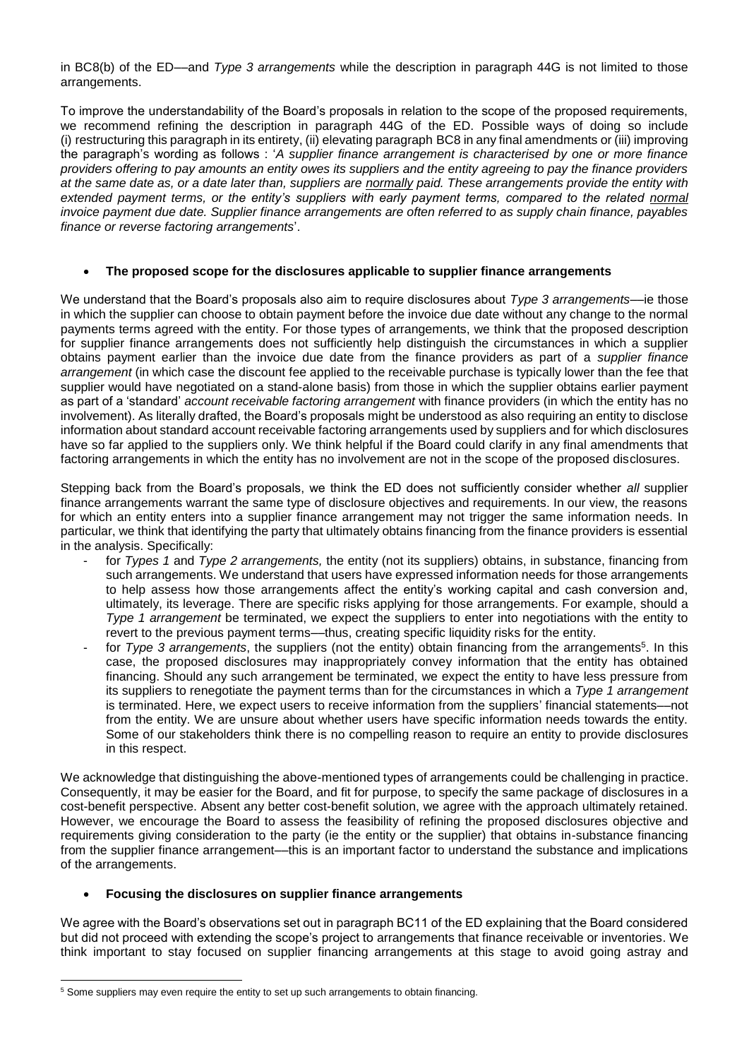in BC8(b) of the ED––and *Type 3 arrangements* while the description in paragraph 44G is not limited to those arrangements.

To improve the understandability of the Board's proposals in relation to the scope of the proposed requirements, we recommend refining the description in paragraph 44G of the ED. Possible ways of doing so include (i) restructuring this paragraph in its entirety, (ii) elevating paragraph BC8 in any final amendments or (iii) improving the paragraph's wording as follows : '*A supplier finance arrangement is characterised by one or more finance providers offering to pay amounts an entity owes its suppliers and the entity agreeing to pay the finance providers at the same date as, or a date later than, suppliers are normally paid. These arrangements provide the entity with extended payment terms, or the entity's suppliers with early payment terms, compared to the related normal invoice payment due date. Supplier finance arrangements are often referred to as supply chain finance, payables finance or reverse factoring arrangements*'.

#### **The proposed scope for the disclosures applicable to supplier finance arrangements**

We understand that the Board's proposals also aim to require disclosures about *Type 3 arrangements*––ie those in which the supplier can choose to obtain payment before the invoice due date without any change to the normal payments terms agreed with the entity. For those types of arrangements, we think that the proposed description for supplier finance arrangements does not sufficiently help distinguish the circumstances in which a supplier obtains payment earlier than the invoice due date from the finance providers as part of a *supplier finance arrangement* (in which case the discount fee applied to the receivable purchase is typically lower than the fee that supplier would have negotiated on a stand-alone basis) from those in which the supplier obtains earlier payment as part of a 'standard' *account receivable factoring arrangement* with finance providers (in which the entity has no involvement). As literally drafted, the Board's proposals might be understood as also requiring an entity to disclose information about standard account receivable factoring arrangements used by suppliers and for which disclosures have so far applied to the suppliers only. We think helpful if the Board could clarify in any final amendments that factoring arrangements in which the entity has no involvement are not in the scope of the proposed disclosures.

Stepping back from the Board's proposals, we think the ED does not sufficiently consider whether *all* supplier finance arrangements warrant the same type of disclosure objectives and requirements. In our view, the reasons for which an entity enters into a supplier finance arrangement may not trigger the same information needs. In particular, we think that identifying the party that ultimately obtains financing from the finance providers is essential in the analysis. Specifically:

- for *Types 1* and *Type 2 arrangements,* the entity (not its suppliers) obtains, in substance, financing from such arrangements. We understand that users have expressed information needs for those arrangements to help assess how those arrangements affect the entity's working capital and cash conversion and, ultimately, its leverage. There are specific risks applying for those arrangements. For example, should a *Type 1 arrangement* be terminated, we expect the suppliers to enter into negotiations with the entity to revert to the previous payment terms––thus, creating specific liquidity risks for the entity.
- for *Type 3 arrangements*, the suppliers (not the entity) obtain financing from the arrangements<sup>5</sup>. In this case, the proposed disclosures may inappropriately convey information that the entity has obtained financing. Should any such arrangement be terminated, we expect the entity to have less pressure from its suppliers to renegotiate the payment terms than for the circumstances in which a *Type 1 arrangement* is terminated. Here, we expect users to receive information from the suppliers' financial statements––not from the entity. We are unsure about whether users have specific information needs towards the entity. Some of our stakeholders think there is no compelling reason to require an entity to provide disclosures in this respect.

We acknowledge that distinguishing the above-mentioned types of arrangements could be challenging in practice. Consequently, it may be easier for the Board, and fit for purpose, to specify the same package of disclosures in a cost-benefit perspective. Absent any better cost-benefit solution, we agree with the approach ultimately retained. However, we encourage the Board to assess the feasibility of refining the proposed disclosures objective and requirements giving consideration to the party (ie the entity or the supplier) that obtains in-substance financing from the supplier finance arrangement––this is an important factor to understand the substance and implications of the arrangements.

## **Focusing the disclosures on supplier finance arrangements**

We agree with the Board's observations set out in paragraph BC11 of the ED explaining that the Board considered but did not proceed with extending the scope's project to arrangements that finance receivable or inventories. We think important to stay focused on supplier financing arrangements at this stage to avoid going astray and

 $\overline{a}$ 

<sup>&</sup>lt;sup>5</sup> Some suppliers may even require the entity to set up such arrangements to obtain financing.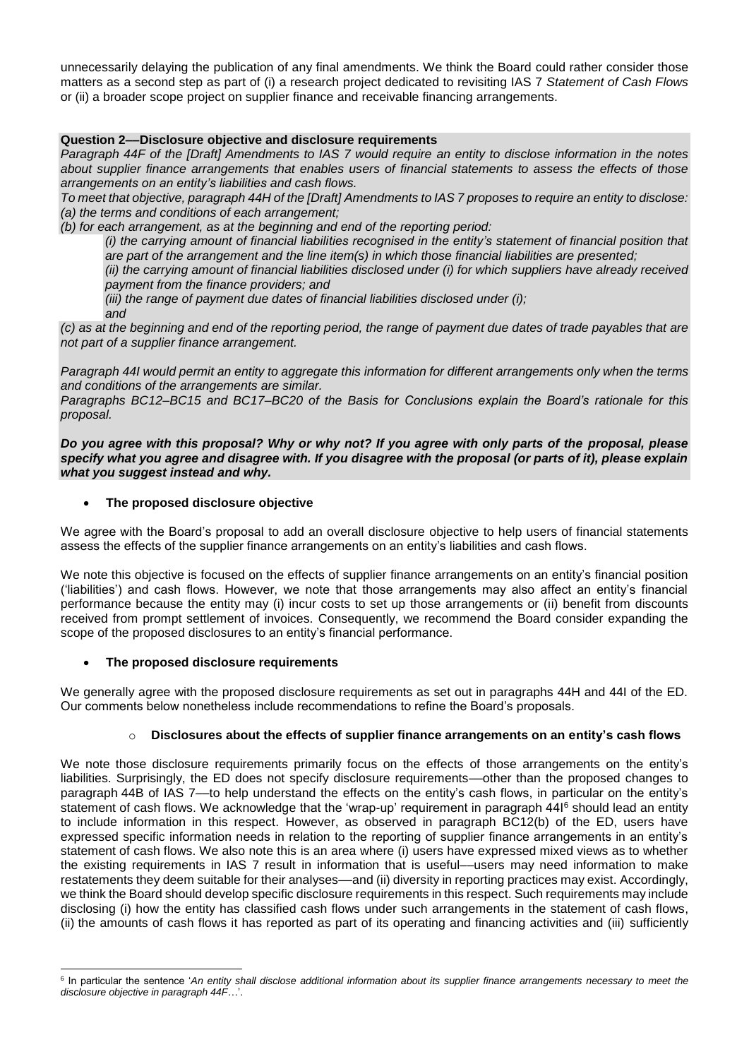unnecessarily delaying the publication of any final amendments. We think the Board could rather consider those matters as a second step as part of (i) a research project dedicated to revisiting IAS 7 *Statement of Cash Flows* or (ii) a broader scope project on supplier finance and receivable financing arrangements.

### **Question 2––Disclosure objective and disclosure requirements**

*Paragraph 44F of the [Draft] Amendments to IAS 7 would require an entity to disclose information in the notes about supplier finance arrangements that enables users of financial statements to assess the effects of those arrangements on an entity's liabilities and cash flows.*

*To meet that objective, paragraph 44H of the [Draft] Amendments to IAS 7 proposes to require an entity to disclose: (a) the terms and conditions of each arrangement;*

*(b) for each arrangement, as at the beginning and end of the reporting period:*

*(i) the carrying amount of financial liabilities recognised in the entity's statement of financial position that are part of the arrangement and the line item(s) in which those financial liabilities are presented;*

*(ii) the carrying amount of financial liabilities disclosed under (i) for which suppliers have already received payment from the finance providers; and*

*(iii) the range of payment due dates of financial liabilities disclosed under (i);*

*and*

*(c) as at the beginning and end of the reporting period, the range of payment due dates of trade payables that are not part of a supplier finance arrangement.*

*Paragraph 44I would permit an entity to aggregate this information for different arrangements only when the terms and conditions of the arrangements are similar.*

*Paragraphs BC12–BC15 and BC17–BC20 of the Basis for Conclusions explain the Board's rationale for this proposal.*

*Do you agree with this proposal? Why or why not? If you agree with only parts of the proposal, please specify what you agree and disagree with. If you disagree with the proposal (or parts of it), please explain what you suggest instead and why.*

#### **The proposed disclosure objective**

We agree with the Board's proposal to add an overall disclosure objective to help users of financial statements assess the effects of the supplier finance arrangements on an entity's liabilities and cash flows.

We note this objective is focused on the effects of supplier finance arrangements on an entity's financial position ('liabilities') and cash flows. However, we note that those arrangements may also affect an entity's financial performance because the entity may (i) incur costs to set up those arrangements or (ii) benefit from discounts received from prompt settlement of invoices. Consequently, we recommend the Board consider expanding the scope of the proposed disclosures to an entity's financial performance.

## **The proposed disclosure requirements**

We generally agree with the proposed disclosure requirements as set out in paragraphs 44H and 44I of the ED. Our comments below nonetheless include recommendations to refine the Board's proposals.

# o **Disclosures about the effects of supplier finance arrangements on an entity's cash flows**

We note those disclosure requirements primarily focus on the effects of those arrangements on the entity's liabilities. Surprisingly, the ED does not specify disclosure requirements––other than the proposed changes to paragraph 44B of IAS 7––to help understand the effects on the entity's cash flows, in particular on the entity's statement of cash flows. We acknowledge that the 'wrap-up' requirement in paragraph 44<sup>16</sup> should lead an entity to include information in this respect. However, as observed in paragraph BC12(b) of the ED, users have expressed specific information needs in relation to the reporting of supplier finance arrangements in an entity's statement of cash flows. We also note this is an area where (i) users have expressed mixed views as to whether the existing requirements in IAS 7 result in information that is useful––users may need information to make restatements they deem suitable for their analyses––and (ii) diversity in reporting practices may exist. Accordingly, we think the Board should develop specific disclosure requirements in this respect. Such requirements may include disclosing (i) how the entity has classified cash flows under such arrangements in the statement of cash flows, (ii) the amounts of cash flows it has reported as part of its operating and financing activities and (iii) sufficiently

<sup>&</sup>lt;sup>6</sup> In particular the sentence 'An entity shall disclose additional information about its supplier finance arrangements necessary to meet the *disclosure objective in paragraph 44F*…'.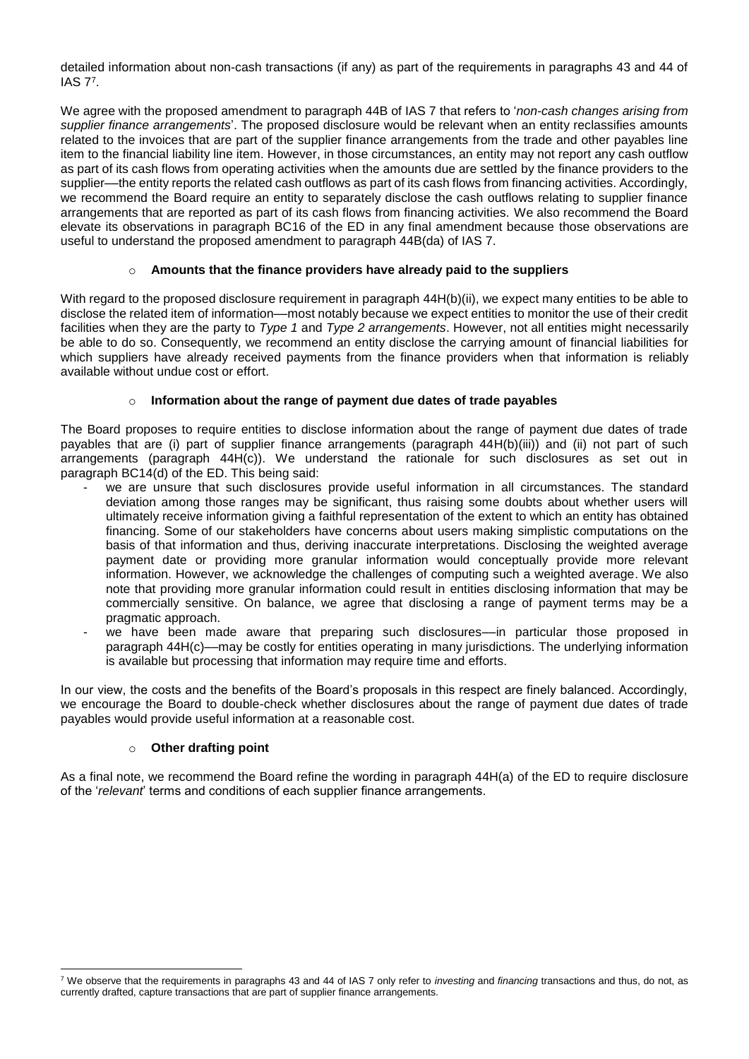detailed information about non-cash transactions (if any) as part of the requirements in paragraphs 43 and 44 of IAS 7<sup>7</sup> .

We agree with the proposed amendment to paragraph 44B of IAS 7 that refers to '*non-cash changes arising from supplier finance arrangements*'. The proposed disclosure would be relevant when an entity reclassifies amounts related to the invoices that are part of the supplier finance arrangements from the trade and other payables line item to the financial liability line item. However, in those circumstances, an entity may not report any cash outflow as part of its cash flows from operating activities when the amounts due are settled by the finance providers to the supplier—the entity reports the related cash outflows as part of its cash flows from financing activities. Accordingly, we recommend the Board require an entity to separately disclose the cash outflows relating to supplier finance arrangements that are reported as part of its cash flows from financing activities. We also recommend the Board elevate its observations in paragraph BC16 of the ED in any final amendment because those observations are useful to understand the proposed amendment to paragraph 44B(da) of IAS 7.

## o **Amounts that the finance providers have already paid to the suppliers**

With regard to the proposed disclosure requirement in paragraph 44H(b)(ii), we expect many entities to be able to disclose the related item of information––most notably because we expect entities to monitor the use of their credit facilities when they are the party to *Type 1* and *Type 2 arrangements*. However, not all entities might necessarily be able to do so. Consequently, we recommend an entity disclose the carrying amount of financial liabilities for which suppliers have already received payments from the finance providers when that information is reliably available without undue cost or effort.

# o **Information about the range of payment due dates of trade payables**

The Board proposes to require entities to disclose information about the range of payment due dates of trade payables that are (i) part of supplier finance arrangements (paragraph 44H(b)(iii)) and (ii) not part of such arrangements (paragraph  $44H(c)$ ). We understand the rationale for such disclosures as set out in paragraph BC14(d) of the ED. This being said:

- we are unsure that such disclosures provide useful information in all circumstances. The standard deviation among those ranges may be significant, thus raising some doubts about whether users will ultimately receive information giving a faithful representation of the extent to which an entity has obtained financing. Some of our stakeholders have concerns about users making simplistic computations on the basis of that information and thus, deriving inaccurate interpretations. Disclosing the weighted average payment date or providing more granular information would conceptually provide more relevant information. However, we acknowledge the challenges of computing such a weighted average. We also note that providing more granular information could result in entities disclosing information that may be commercially sensitive. On balance, we agree that disclosing a range of payment terms may be a pragmatic approach.
- we have been made aware that preparing such disclosures—in particular those proposed in paragraph 44H(c)––may be costly for entities operating in many jurisdictions. The underlying information is available but processing that information may require time and efforts.

In our view, the costs and the benefits of the Board's proposals in this respect are finely balanced. Accordingly, we encourage the Board to double-check whether disclosures about the range of payment due dates of trade payables would provide useful information at a reasonable cost.

## o **Other drafting point**

As a final note, we recommend the Board refine the wording in paragraph 44H(a) of the ED to require disclosure of the '*relevant*' terms and conditions of each supplier finance arrangements.

 <sup>7</sup> We observe that the requirements in paragraphs 43 and 44 of IAS 7 only refer to *investing* and *financing* transactions and thus, do not, as currently drafted, capture transactions that are part of supplier finance arrangements.